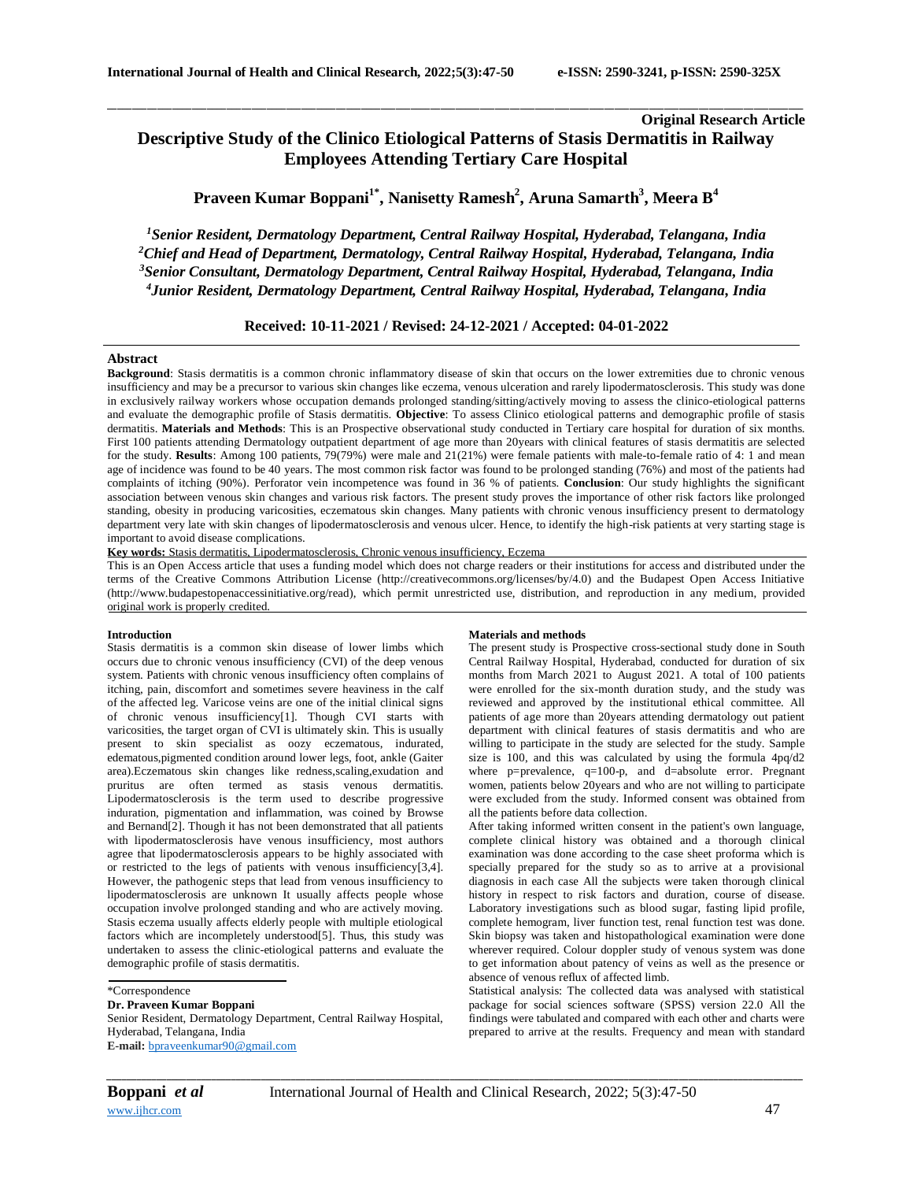# **Original Research Article Descriptive Study of the Clinico Etiological Patterns of Stasis Dermatitis in Railway Employees Attending Tertiary Care Hospital**

**Praveen Kumar Boppani1\* , Nanisetty Ramesh<sup>2</sup> , Aruna Samarth<sup>3</sup> , Meera B<sup>4</sup>**

\_\_\_\_\_\_\_\_\_\_\_\_\_\_\_\_\_\_\_\_\_\_\_\_\_\_\_\_\_\_\_\_\_\_\_\_\_\_\_\_\_\_\_\_\_\_\_\_\_\_\_\_\_\_\_\_\_\_\_\_\_\_\_\_\_\_\_\_\_\_\_\_\_\_\_\_\_\_\_\_\_\_\_\_\_\_\_\_\_\_\_\_\_\_\_\_\_\_\_\_\_\_\_\_\_\_\_\_\_\_\_\_\_\_\_\_\_\_\_\_\_\_\_\_\_\_\_\_\_\_\_\_\_\_\_\_\_\_\_\_

*Senior Resident, Dermatology Department, Central Railway Hospital, Hyderabad, Telangana, India Chief and Head of Department, Dermatology, Central Railway Hospital, Hyderabad, Telangana, India Senior Consultant, Dermatology Department, Central Railway Hospital, Hyderabad, Telangana, India Junior Resident, Dermatology Department, Central Railway Hospital, Hyderabad, Telangana, India*

**Received: 10-11-2021 / Revised: 24-12-2021 / Accepted: 04-01-2022**

## **Abstract**

**Background**: Stasis dermatitis is a common chronic inflammatory disease of skin that occurs on the lower extremities due to chronic venous insufficiency and may be a precursor to various skin changes like eczema, venous ulceration and rarely lipodermatosclerosis. This study was done in exclusively railway workers whose occupation demands prolonged standing/sitting/actively moving to assess the clinico-etiological patterns and evaluate the demographic profile of Stasis dermatitis. **Objective**: To assess Clinico etiological patterns and demographic profile of stasis dermatitis. **Materials and Methods**: This is an Prospective observational study conducted in Tertiary care hospital for duration of six months. First 100 patients attending Dermatology outpatient department of age more than 20years with clinical features of stasis dermatitis are selected for the study. **Results**: Among 100 patients, 79(79%) were male and 21(21%) were female patients with male-to-female ratio of 4: 1 and mean age of incidence was found to be 40 years. The most common risk factor was found to be prolonged standing (76%) and most of the patients had complaints of itching (90%). Perforator vein incompetence was found in 36 % of patients. **Conclusion**: Our study highlights the significant association between venous skin changes and various risk factors. The present study proves the importance of other risk factors like prolonged standing, obesity in producing varicosities, eczematous skin changes. Many patients with chronic venous insufficiency present to dermatology department very late with skin changes of lipodermatosclerosis and venous ulcer. Hence, to identify the high-risk patients at very starting stage is important to avoid disease complications.

**Key words:** Stasis dermatitis, Lipodermatosclerosis, Chronic venous insufficiency, Eczema

This is an Open Access article that uses a funding model which does not charge readers or their institutions for access and distributed under the terms of the Creative Commons Attribution License (http://creativecommons.org/licenses/by/4.0) and the Budapest Open Access Initiative (http://www.budapestopenaccessinitiative.org/read), which permit unrestricted use, distribution, and reproduction in any medium, provided original work is properly credited.

### **Introduction**

Stasis dermatitis is a common skin disease of lower limbs which occurs due to chronic venous insufficiency (CVI) of the deep venous system. Patients with chronic venous insufficiency often complains of itching, pain, discomfort and sometimes severe heaviness in the calf of the affected leg. Varicose veins are one of the initial clinical signs of chronic venous insufficiency[1]. Though CVI starts with varicosities, the target organ of CVI is ultimately skin. This is usually present to skin specialist as oozy eczematous, indurated, edematous,pigmented condition around lower legs, foot, ankle (Gaiter area).Eczematous skin changes like redness,scaling,exudation and pruritus are often termed as stasis venous dermatitis. Lipodermatosclerosis is the term used to describe progressive induration, pigmentation and inflammation, was coined by Browse and Bernand[2]. Though it has not been demonstrated that all patients with lipodermatosclerosis have venous insufficiency, most authors agree that lipodermatosclerosis appears to be highly associated with or restricted to the legs of patients with venous insufficiency[3,4]. However, the pathogenic steps that lead from venous insufficiency to lipodermatosclerosis are unknown It usually affects people whose occupation involve prolonged standing and who are actively moving. Stasis eczema usually affects elderly people with multiple etiological factors which are incompletely understood[5]. Thus, this study was undertaken to assess the clinic-etiological patterns and evaluate the demographic profile of stasis dermatitis.

Senior Resident, Dermatology Department, Central Railway Hospital, Hyderabad, Telangana, India **E-mail:** [bpraveenkumar90@gmail.com](mailto:bpraveenkumar90@gmail.com)

#### **Materials and methods**

The present study is Prospective cross-sectional study done in South Central Railway Hospital, Hyderabad, conducted for duration of six months from March 2021 to August 2021. A total of 100 patients were enrolled for the six-month duration study, and the study was reviewed and approved by the institutional ethical committee. All patients of age more than 20years attending dermatology out patient department with clinical features of stasis dermatitis and who are willing to participate in the study are selected for the study. Sample size is 100, and this was calculated by using the formula 4pq/d2 where p=prevalence, q=100-p, and d=absolute error. Pregnant women, patients below 20years and who are not willing to participate were excluded from the study. Informed consent was obtained from all the patients before data collection.

After taking informed written consent in the patient's own language, complete clinical history was obtained and a thorough clinical examination was done according to the case sheet proforma which is specially prepared for the study so as to arrive at a provisional diagnosis in each case All the subjects were taken thorough clinical history in respect to risk factors and duration, course of disease. Laboratory investigations such as blood sugar, fasting lipid profile, complete hemogram, liver function test, renal function test was done. Skin biopsy was taken and histopathological examination were done wherever required. Colour doppler study of venous system was done to get information about patency of veins as well as the presence or absence of venous reflux of affected limb.

Statistical analysis: The collected data was analysed with statistical package for social sciences software (SPSS) version 22.0 All the findings were tabulated and compared with each other and charts were prepared to arrive at the results. Frequency and mean with standard

*\_\_\_\_\_\_\_\_\_\_\_\_\_\_\_\_\_\_\_\_\_\_\_\_\_\_\_\_\_\_\_\_\_\_\_\_\_\_\_\_\_\_\_\_\_\_\_\_\_\_\_\_\_\_\_\_\_\_\_\_\_\_\_\_\_\_\_\_\_\_\_\_\_\_\_\_\_\_\_\_\_\_\_\_\_\_\_\_\_\_\_\_\_\_\_\_\_\_\_\_\_\_\_\_\_\_\_\_\_\_\_\_\_\_\_\_\_\_\_\_\_\_\_\_\_\_\_\_\_\_\_\_\_\_\_\_\_\_\_\_*

<sup>\*</sup>Correspondence

**Dr. Praveen Kumar Boppani**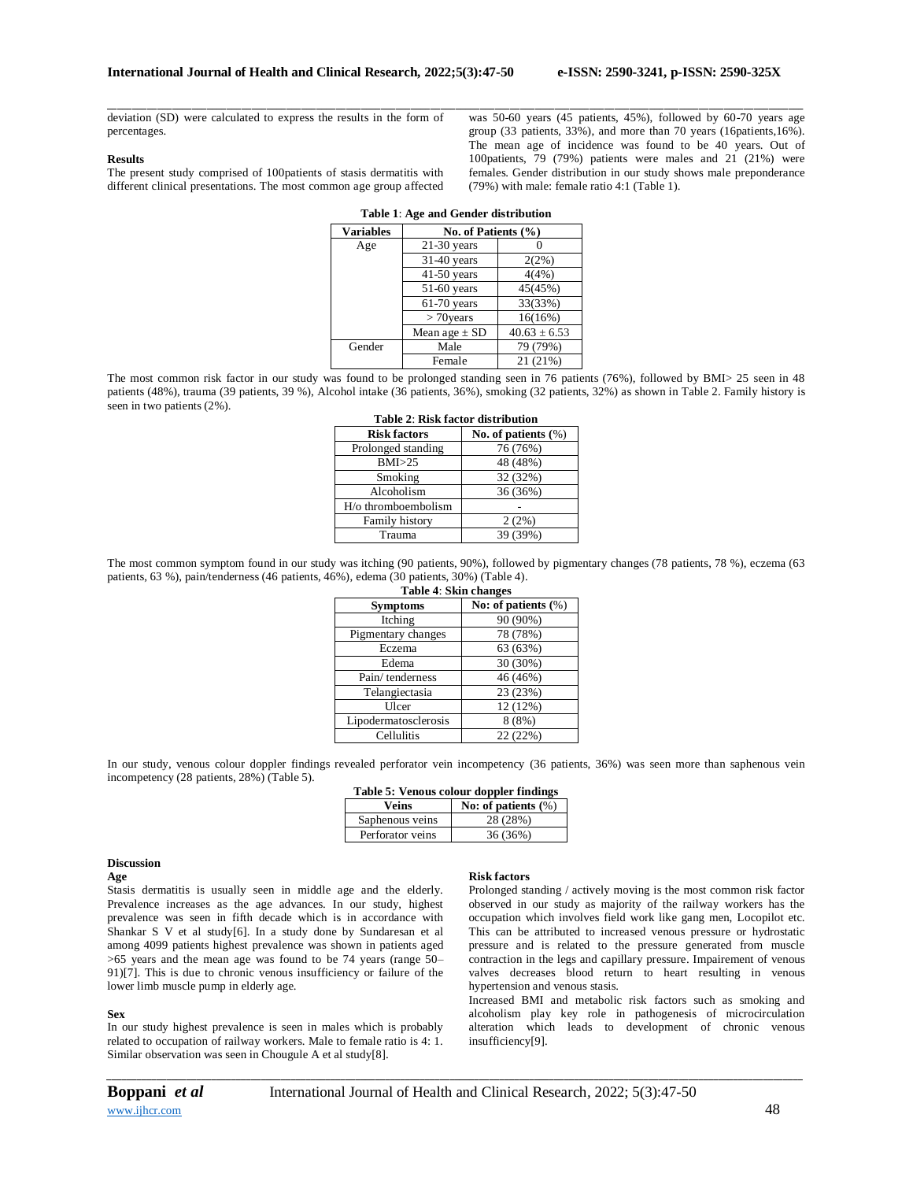deviation (SD) were calculated to express the results in the form of percentages.

#### **Results**

The present study comprised of 100patients of stasis dermatitis with different clinical presentations. The most common age group affected

\_\_\_\_\_\_\_\_\_\_\_\_\_\_\_\_\_\_\_\_\_\_\_\_\_\_\_\_\_\_\_\_\_\_\_\_\_\_\_\_\_\_\_\_\_\_\_\_\_\_\_\_\_\_\_\_\_\_\_\_\_\_\_\_\_\_\_\_\_\_\_\_\_\_\_\_\_\_\_\_\_\_\_\_\_\_\_\_\_\_\_\_\_\_\_\_\_\_\_\_\_\_\_\_\_\_\_\_\_\_\_\_\_\_\_\_\_\_\_\_\_\_\_\_\_\_\_\_\_\_\_\_\_\_\_\_\_\_\_\_ was 50-60 years (45 patients, 45%), followed by 60-70 years age group (33 patients, 33%), and more than 70 years (16patients,16%). The mean age of incidence was found to be 40 years. Out of 100patients, 79 (79%) patients were males and 21 (21%) were females. Gender distribution in our study shows male preponderance (79%) with male: female ratio 4:1 (Table 1).

| $\ldots$         |                     |                  |  |
|------------------|---------------------|------------------|--|
| <b>Variables</b> | No. of Patients (%) |                  |  |
| Age              | $21-30$ years       |                  |  |
|                  | 31-40 years         | $2(2\%)$         |  |
|                  | $41-50$ years       | 4(4%)            |  |
|                  | 51-60 years         | 45(45%)          |  |
|                  | $61-70$ years       | 33(33%)          |  |
|                  | $> 70$ years        | 16(16%)          |  |
|                  | Mean age $\pm$ SD   | $40.63 \pm 6.53$ |  |
| Gender           | Male                | 79 (79%)         |  |
|                  | Female              | 21 (21%)         |  |

| Table 1: Age and Gender distribution |  |  |
|--------------------------------------|--|--|
|--------------------------------------|--|--|

The most common risk factor in our study was found to be prolonged standing seen in 76 patients (76%), followed by BMI> 25 seen in 48 patients (48%), trauma (39 patients, 39 %), Alcohol intake (36 patients, 36%), smoking (32 patients, 32%) as shown in Table 2. Family history is seen in two patients (2%).

| Tabit 4. INSK lativi uisti ibutibil |                        |  |
|-------------------------------------|------------------------|--|
| <b>Risk factors</b>                 | No. of patients $(\%)$ |  |
| Prolonged standing                  | 76 (76%)               |  |
| BMI > 25                            | 48 (48%)               |  |
| Smoking                             | 32 (32%)               |  |
| Alcoholism                          | 36 (36%)               |  |
| $H$ /o thromboembolism              |                        |  |
| Family history                      | 2(2%)                  |  |
| Trauma                              | 39 (39%)               |  |

## **Table 2**: **Risk factor distribution**

The most common symptom found in our study was itching (90 patients, 90%), followed by pigmentary changes (78 patients, 78 %), eczema (63 patients, 63 %), pain/tenderness (46 patients, 46%), edema (30 patients, 30%) (Table 4).

| Table 4: Skin changes |                        |  |
|-----------------------|------------------------|--|
| <b>Symptoms</b>       | No: of patients $(\%)$ |  |
| Itching               | 90 (90%)               |  |
| Pigmentary changes    | 78 (78%)               |  |
| Eczema                | 63 (63%)               |  |
| Edema                 | 30 (30%)               |  |
| Pain/tenderness       | 46 (46%)               |  |
| Telangiectasia        | 23 (23%)               |  |
| Ulcer                 | 12 (12%)               |  |
| Lipodermatosclerosis  | 8(8%)                  |  |
| Cellulitis            | 22(22%)                |  |

In our study, venous colour doppler findings revealed perforator vein incompetency (36 patients, 36%) was seen more than saphenous vein incompetency (28 patients, 28%) (Table 5).

| Table 5: Venous colour doppler findings |                        |  |
|-----------------------------------------|------------------------|--|
| Veins                                   | No: of patients $(\%)$ |  |
| Saphenous veins                         | 28 (28%)               |  |
| Perforator veins                        | 36 (36%)               |  |

#### **Discussion**

**Age**

Stasis dermatitis is usually seen in middle age and the elderly. Prevalence increases as the age advances. In our study, highest prevalence was seen in fifth decade which is in accordance with Shankar S V et al study[6]. In a study done by Sundaresan et al among 4099 patients highest prevalence was shown in patients aged >65 years and the mean age was found to be 74 years (range 50– 91)[7]. This is due to chronic venous insufficiency or failure of the lower limb muscle pump in elderly age.

#### **Sex**

In our study highest prevalence is seen in males which is probably related to occupation of railway workers. Male to female ratio is 4: 1. Similar observation was seen in Chougule A et al study[8].

# **Risk factors**

Prolonged standing / actively moving is the most common risk factor observed in our study as majority of the railway workers has the occupation which involves field work like gang men, Locopilot etc. This can be attributed to increased venous pressure or hydrostatic pressure and is related to the pressure generated from muscle contraction in the legs and capillary pressure. Impairement of venous valves decreases blood return to heart resulting in venous hypertension and venous stasis.

Increased BMI and metabolic risk factors such as smoking and alcoholism play key role in pathogenesis of microcirculation alteration which leads to development of chronic venous insufficiency[9].

*\_\_\_\_\_\_\_\_\_\_\_\_\_\_\_\_\_\_\_\_\_\_\_\_\_\_\_\_\_\_\_\_\_\_\_\_\_\_\_\_\_\_\_\_\_\_\_\_\_\_\_\_\_\_\_\_\_\_\_\_\_\_\_\_\_\_\_\_\_\_\_\_\_\_\_\_\_\_\_\_\_\_\_\_\_\_\_\_\_\_\_\_\_\_\_\_\_\_\_\_\_\_\_\_\_\_\_\_\_\_\_\_\_\_\_\_\_\_\_\_\_\_\_\_\_\_\_\_\_\_\_\_\_\_\_\_\_\_\_\_*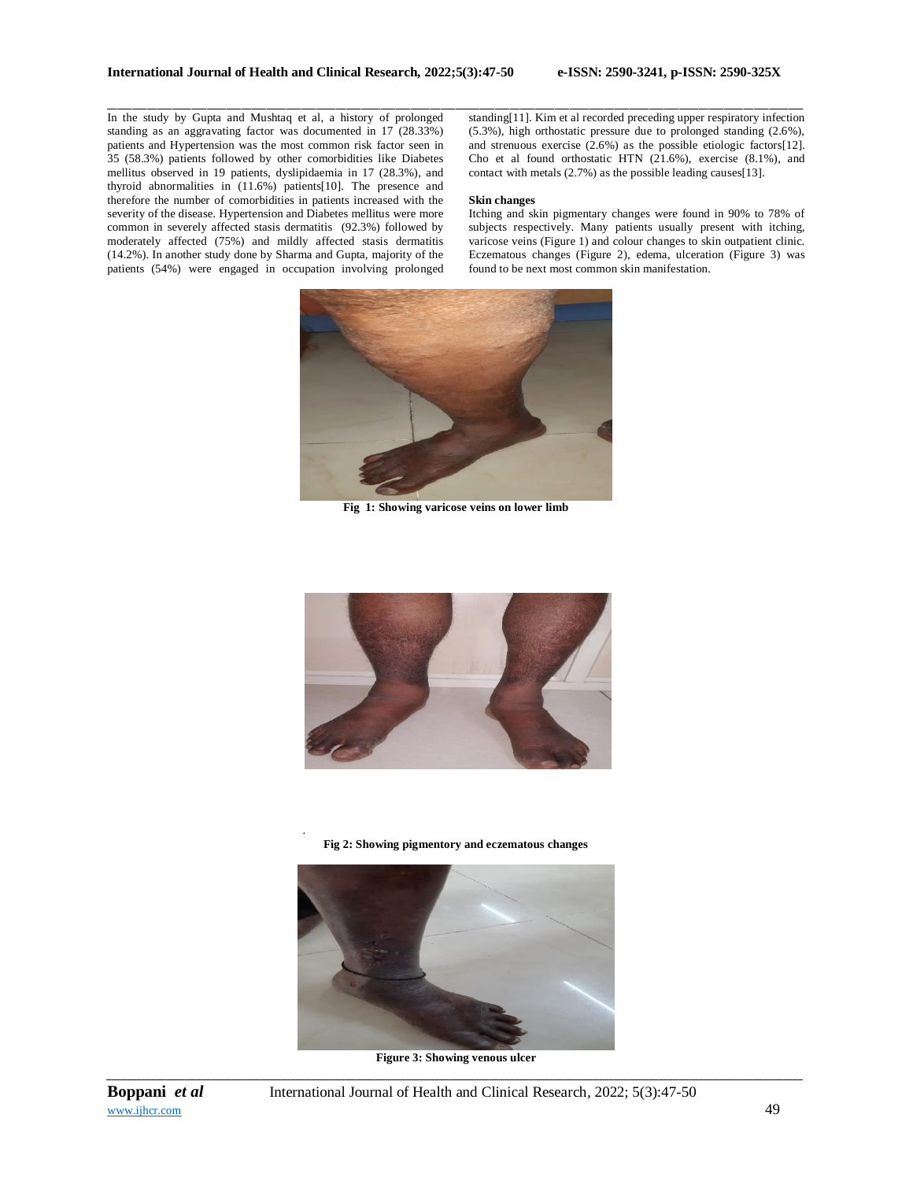In the study by Gupta and Mushtaq et al, a history of prolonged standing as an aggravating factor was documented in 17 (28.33%) patients and Hypertension was the most common risk factor seen in 35 (58.3%) patients followed by other comorbidities like Diabetes mellitus observed in 19 patients, dyslipidaemia in 17 (28.3%), and thyroid abnormalities in (11.6%) patients[10]. The presence and therefore the number of comorbidities in patients increased with the severity of the disease. Hypertension and Diabetes mellitus were more common in severely affected stasis dermatitis (92.3%) followed by moderately affected (75%) and mildly affected stasis dermatitis (14.2%). In another study done by Sharma and Gupta, majority of the patients (54%) were engaged in occupation involving prolonged

\_\_\_\_\_\_\_\_\_\_\_\_\_\_\_\_\_\_\_\_\_\_\_\_\_\_\_\_\_\_\_\_\_\_\_\_\_\_\_\_\_\_\_\_\_\_\_\_\_\_\_\_\_\_\_\_\_\_\_\_\_\_\_\_\_\_\_\_\_\_\_\_\_\_\_\_\_\_\_\_\_\_\_\_\_\_\_\_\_\_\_\_\_\_\_\_\_\_\_\_\_\_\_\_\_\_\_\_\_\_\_\_\_\_\_\_\_\_\_\_\_\_\_\_\_\_\_\_\_\_\_\_\_\_\_\_\_\_\_\_ standing[11]. Kim et al recorded preceding upper respiratory infection (5.3%), high orthostatic pressure due to prolonged standing (2.6%), and strenuous exercise (2.6%) as the possible etiologic factors[12]. Cho et al found orthostatic HTN (21.6%), exercise (8.1%), and contact with metals (2.7%) as the possible leading causes[13].

#### **Skin changes**

Itching and skin pigmentary changes were found in 90% to 78% of subjects respectively. Many patients usually present with itching, varicose veins (Figure 1) and colour changes to skin outpatient clinic. Eczematous changes (Figure 2), edema, ulceration (Figure 3) was found to be next most common skin manifestation.



**Fig 1: Showing varicose veins on lower limb**



**Fig 2: Showing pigmentory and eczematous changes**

.



*\_\_\_\_\_\_\_\_\_\_\_\_\_\_\_\_\_\_\_\_\_\_\_\_\_\_\_\_\_\_\_\_\_\_\_\_\_\_\_\_\_\_\_\_\_\_\_\_\_\_\_\_\_\_\_\_\_\_\_\_\_\_\_\_\_\_\_\_\_\_\_\_\_\_\_\_\_\_\_\_\_\_\_\_\_\_\_\_\_\_\_\_\_\_\_\_\_\_\_\_\_\_\_\_\_\_\_\_\_\_\_\_\_\_\_\_\_\_\_\_\_\_\_\_\_\_\_\_\_\_\_\_\_\_\_\_\_\_\_\_* **Figure 3: Showing venous ulcer**